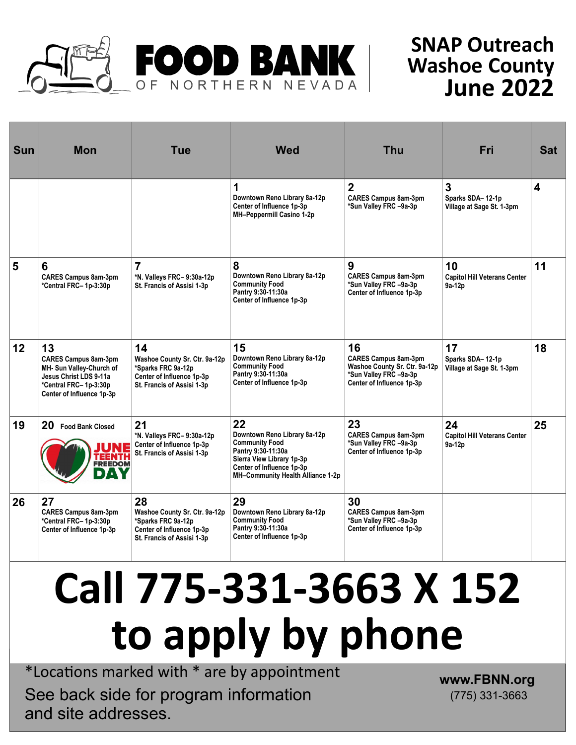

## **SNAP Outreach Washoe County June 2022**

| <b>Sun</b> | <b>Mon</b>                                                                                                                                    | <b>Tue</b>                                                                                                           | <b>Wed</b>                                                                                                                                                                       | <b>Thu</b>                                                                                                                | Fri                                                 | <b>Sat</b>              |
|------------|-----------------------------------------------------------------------------------------------------------------------------------------------|----------------------------------------------------------------------------------------------------------------------|----------------------------------------------------------------------------------------------------------------------------------------------------------------------------------|---------------------------------------------------------------------------------------------------------------------------|-----------------------------------------------------|-------------------------|
|            |                                                                                                                                               |                                                                                                                      | 1<br>Downtown Reno Library 8a-12p<br>Center of Influence 1p-3p<br>MH-Peppermill Casino 1-2p                                                                                      | $\overline{2}$<br><b>CARES Campus 8am-3pm</b><br>*Sun Valley FRC -9a-3p                                                   | 3<br>Sparks SDA-12-1p<br>Village at Sage St. 1-3pm  | $\overline{\mathbf{4}}$ |
| 5          | 6<br><b>CARES Campus 8am-3pm</b><br>*Central FRC-1p-3:30p                                                                                     | $\overline{7}$<br>*N. Valleys FRC-9:30a-12p<br>St. Francis of Assisi 1-3p                                            | 8<br>Downtown Reno Library 8a-12p<br><b>Community Food</b><br>Pantry 9:30-11:30a<br>Center of Influence 1p-3p                                                                    | 9<br><b>CARES Campus 8am-3pm</b><br>*Sun Valley FRC -9a-3p<br>Center of Influence 1p-3p                                   | 10<br><b>Capitol Hill Veterans Center</b><br>9a-12p | 11                      |
| 12         | 13<br><b>CARES Campus 8am-3pm</b><br>MH- Sun Valley-Church of<br>Jesus Christ LDS 9-11a<br>*Central FRC-1p-3:30p<br>Center of Influence 1p-3p | 14<br>Washoe County Sr. Ctr. 9a-12p<br>*Sparks FRC 9a-12p<br>Center of Influence 1p-3p<br>St. Francis of Assisi 1-3p | 15<br>Downtown Reno Library 8a-12p<br><b>Community Food</b><br>Pantry 9:30-11:30a<br>Center of Influence 1p-3p                                                                   | 16<br><b>CARES Campus 8am-3pm</b><br>Washoe County Sr. Ctr. 9a-12p<br>*Sun Valley FRC -9a-3p<br>Center of Influence 1p-3p | 17<br>Sparks SDA-12-1p<br>Village at Sage St. 1-3pm | 18                      |
| 19         | 20<br><b>Food Bank Closed</b><br>NE<br><b>TEENTH</b><br><b>FREEDOM</b>                                                                        | 21<br>*N. Valleys FRC-9:30a-12p<br>Center of Influence 1p-3p<br>St. Francis of Assisi 1-3p                           | 22<br>Downtown Reno Library 8a-12p<br><b>Community Food</b><br>Pantry 9:30-11:30a<br>Sierra View Library 1p-3p<br>Center of Influence 1p-3p<br>MH-Community Health Alliance 1-2p | 23<br><b>CARES Campus 8am-3pm</b><br>*Sun Valley FRC -9a-3p<br>Center of Influence 1p-3p                                  | 24<br><b>Capitol Hill Veterans Center</b><br>9a-12p | 25                      |
| 26         | 27<br><b>CARES Campus 8am-3pm</b><br>*Central FRC-1p-3:30p<br>Center of Influence 1p-3p                                                       | 28<br>Washoe County Sr. Ctr. 9a-12p<br>*Sparks FRC 9a-12p<br>Center of Influence 1p-3p<br>St. Francis of Assisi 1-3p | 29<br>Downtown Reno Library 8a-12p<br><b>Community Food</b><br>Pantry 9:30-11:30a<br>Center of Influence 1p-3p                                                                   | 30<br><b>CARES Campus 8am-3pm</b><br>*Sun Valley FRC -9a-3p<br>Center of Influence 1p-3p                                  |                                                     |                         |

## **Call 775-331-3663 X 152 to apply by phone**

\*Locations marked with \* are by appointment See back side for program information and site addresses.

**www.FBNN.org** (775) 331-3663